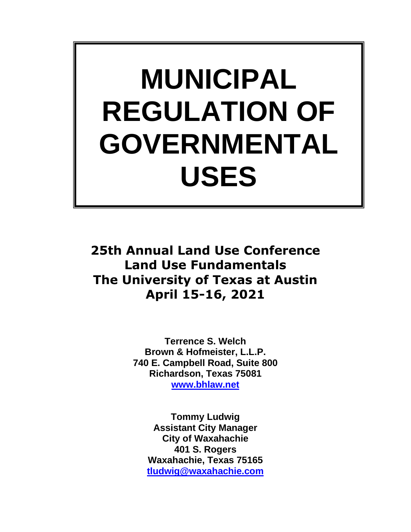# **MUNICIPAL REGULATION OF GOVERNMENTAL USES**

**25th Annual Land Use Conference Land Use Fundamentals The University of Texas at Austin April 15-16, 2021**

> **Terrence S. Welch Brown & Hofmeister, L.L.P. 740 E. Campbell Road, Suite 800 Richardson, Texas 75081 [www.bhlaw.net](http://www.bhlaw.net/)**

**Tommy Ludwig Assistant City Manager City of Waxahachie 401 S. Rogers Waxahachie, Texas 75165 [tludwig@waxahachie.com](mailto:tludwig@waxahachie.com)**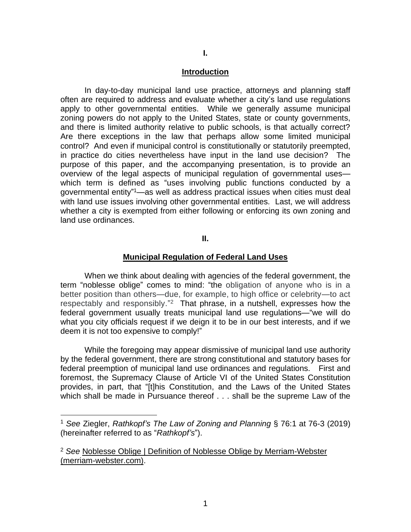#### **Introduction**

In day-to-day municipal land use practice, attorneys and planning staff often are required to address and evaluate whether a city's land use regulations apply to other governmental entities. While we generally assume municipal zoning powers do not apply to the United States, state or county governments, and there is limited authority relative to public schools, is that actually correct? Are there exceptions in the law that perhaps allow some limited municipal control? And even if municipal control is constitutionally or statutorily preempted, in practice do cities nevertheless have input in the land use decision? The purpose of this paper, and the accompanying presentation, is to provide an overview of the legal aspects of municipal regulation of governmental uses which term is defined as "uses involving public functions conducted by a governmental entity" <sup>1</sup>—as well as address practical issues when cities must deal with land use issues involving other governmental entities. Last, we will address whether a city is exempted from either following or enforcing its own zoning and land use ordinances.

#### **II.**

#### **Municipal Regulation of Federal Land Uses**

When we think about dealing with agencies of the federal government, the term "noblesse oblige" comes to mind: "the obligation of anyone who is in a better position than others—due, for example, to high office or celebrity—to act respectably and responsibly."<sup>2</sup> That phrase, in a nutshell, expresses how the federal government usually treats municipal land use regulations—"we will do what you city officials request if we deign it to be in our best interests, and if we deem it is not too expensive to comply!"

While the foregoing may appear dismissive of municipal land use authority by the federal government, there are strong constitutional and statutory bases for federal preemption of municipal land use ordinances and regulations. First and foremost, the Supremacy Clause of Article VI of the United States Constitution provides, in part, that "[t]his Constitution, and the Laws of the United States which shall be made in Pursuance thereof . . . shall be the supreme Law of the

<sup>1</sup> *See* Ziegler, *Rathkopf's The Law of Zoning and Planning* § 76:1 at 76-3 (2019) (hereinafter referred to as "*Rathkopf's*").

<sup>&</sup>lt;sup>2</sup> See Noblesse Oblige | Definition of Noblesse Oblige by Merriam-Webster [\(merriam-webster.com\).](https://www.merriam-webster.com/dictionary/noblesse%20oblige#:~:text=Then,%20as%20now,%20%22noblesse%20oblige%22%20referred%20to%20the,or%20celebrity%20-%20to%20act%20respectably%20and%20responsibly.)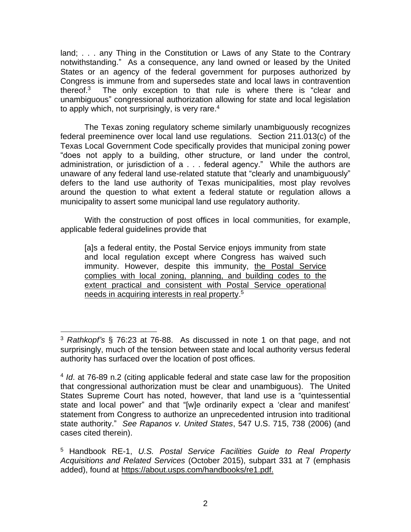land; . . . any Thing in the Constitution or Laws of any State to the Contrary notwithstanding." As a consequence, any land owned or leased by the United States or an agency of the federal government for purposes authorized by Congress is immune from and supersedes state and local laws in contravention thereof.<sup>3</sup> The only exception to that rule is where there is "clear and unambiguous" congressional authorization allowing for state and local legislation to apply which, not surprisingly, is very rare. $4$ 

The Texas zoning regulatory scheme similarly unambiguously recognizes federal preeminence over local land use regulations. Section 211.013(c) of the Texas Local Government Code specifically provides that municipal zoning power "does not apply to a building, other structure, or land under the control, administration, or jurisdiction of a . . . federal agency." While the authors are unaware of any federal land use-related statute that "clearly and unambiguously" defers to the land use authority of Texas municipalities, most play revolves around the question to what extent a federal statute or regulation allows a municipality to assert some municipal land use regulatory authority.

With the construction of post offices in local communities, for example, applicable federal guidelines provide that

[a]s a federal entity, the Postal Service enjoys immunity from state and local regulation except where Congress has waived such immunity. However, despite this immunity, the Postal Service complies with local zoning, planning, and building codes to the extent practical and consistent with Postal Service operational needs in acquiring interests in real property. 5

<sup>3</sup> *Rathkopf's* § 76:23 at 76-88. As discussed in note 1 on that page, and not surprisingly, much of the tension between state and local authority versus federal authority has surfaced over the location of post offices.

<sup>4</sup> *Id*. at 76-89 n.2 (citing applicable federal and state case law for the proposition that congressional authorization must be clear and unambiguous). The United States Supreme Court has noted, however, that land use is a "quintessential state and local power" and that "[w]e ordinarily expect a 'clear and manifest' statement from Congress to authorize an unprecedented intrusion into traditional state authority." *See Rapanos v. United States*, 547 U.S. 715, 738 (2006) (and cases cited therein).

<sup>5</sup> Handbook RE-1, *U.S. Postal Service Facilities Guide to Real Property Acquisitions and Related Services* (October 2015), subpart 331 at 7 (emphasis added), found at https://about.usps.com/handbooks/re1.pdf.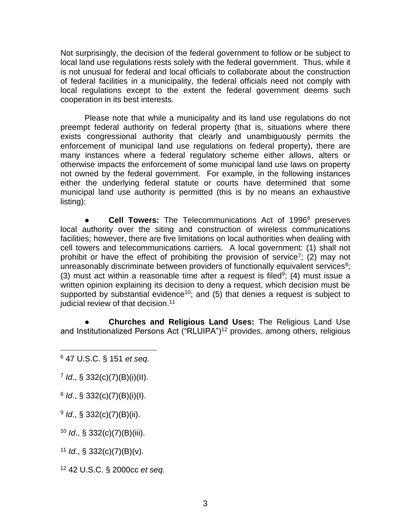Not surprisingly, the decision of the federal government to follow or be subject to local land use regulations rests solely with the federal government. Thus, while it is not unusual for federal and local officials to collaborate about the construction of federal facilities in a municipality, the federal officials need not comply with local regulations except to the extent the federal government deems such cooperation in its best interests.

Please note that while a municipality and its land use regulations do not preempt federal authority on federal property (that is, situations where there exists congressional authority that clearly and unambiguously permits the enforcement of municipal land use regulations on federal property), there are many instances where a federal regulatory scheme either allows, alters or otherwise impacts the enforcement of some municipal land use laws on property not owned by the federal government. For example, in the following instances either the underlying federal statute or courts have determined that some municipal land use authority is permitted (this is by no means an exhaustive listing):

**Cell Towers:** The Telecommunications Act of 1996<sup>6</sup> preserves local authority over the siting and construction of wireless communications facilities; however, there are five limitations on local authorities when dealing with cell towers and telecommunications carriers. A local government: (1) shall not prohibit or have the effect of prohibiting the provision of service<sup>7</sup>; (2) may not unreasonably discriminate between providers of functionally equivalent services<sup>8</sup>; (3) must act within a reasonable time after a request is filed<sup>9</sup>; (4) must issue a written opinion explaining its decision to deny a request, which decision must be supported by substantial evidence<sup>10</sup>; and (5) that denies a request is subject to judicial review of that decision.<sup>11</sup>

**Churches and Religious Land Uses: The Religious Land Use** and Institutionalized Persons Act ("RLUIPA")<sup>12</sup> provides, among others, religious

7 *Id*., § 332(c)(7)(B)(i)(II).

8 *Id*., § 332(c)(7)(B)(i)(I).

9 *Id*., § 332(c)(7)(B)(ii).

<sup>10</sup> *Id*., § 332(c)(7)(B)(iii).

<sup>11</sup> *Id*., § 332(c)(7)(B)(v).

<sup>12</sup> 42 U.S.C. § 2000cc *et seq.*

<sup>6</sup> 47 U.S.C. § 151 *et seq.*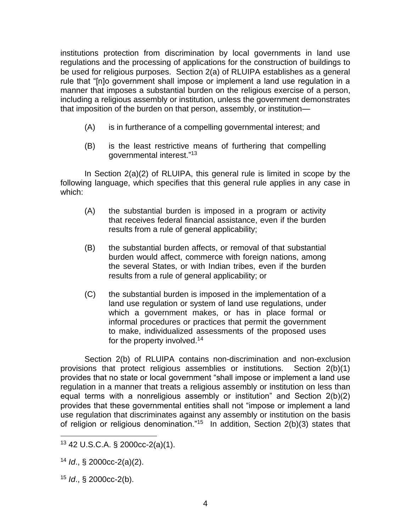institutions protection from discrimination by local governments in land use regulations and the processing of applications for the construction of buildings to be used for religious purposes. Section 2(a) of RLUIPA establishes as a general rule that "[n]o government shall impose or implement a land use regulation in a manner that imposes a substantial burden on the religious exercise of a person, including a religious assembly or institution, unless the government demonstrates that imposition of the burden on that person, assembly, or institution—

- (A) is in furtherance of a compelling governmental interest; and
- (B) is the least restrictive means of furthering that compelling governmental interest."<sup>13</sup>

In Section 2(a)(2) of RLUIPA, this general rule is limited in scope by the following language, which specifies that this general rule applies in any case in which:

- (A) the substantial burden is imposed in a program or activity that receives federal financial assistance, even if the burden results from a rule of general applicability;
- (B) the substantial burden affects, or removal of that substantial burden would affect, commerce with foreign nations, among the several States, or with Indian tribes, even if the burden results from a rule of general applicability; or
- (C) the substantial burden is imposed in the implementation of a land use regulation or system of land use regulations, under which a government makes, or has in place formal or informal procedures or practices that permit the government to make, individualized assessments of the proposed uses for the property involved.<sup>14</sup>

Section 2(b) of RLUIPA contains non-discrimination and non-exclusion provisions that protect religious assemblies or institutions. Section 2(b)(1) provides that no state or local government "shall impose or implement a land use regulation in a manner that treats a religious assembly or institution on less than equal terms with a nonreligious assembly or institution" and Section 2(b)(2) provides that these governmental entities shall not "impose or implement a land use regulation that discriminates against any assembly or institution on the basis of religion or religious denomination."<sup>15</sup> In addition, Section 2(b)(3) states that

<sup>13</sup> 42 U.S.C.A. § 2000cc-2(a)(1).

<sup>14</sup> *Id*., § 2000cc-2(a)(2).

<sup>15</sup> *Id*., § 2000cc-2(b).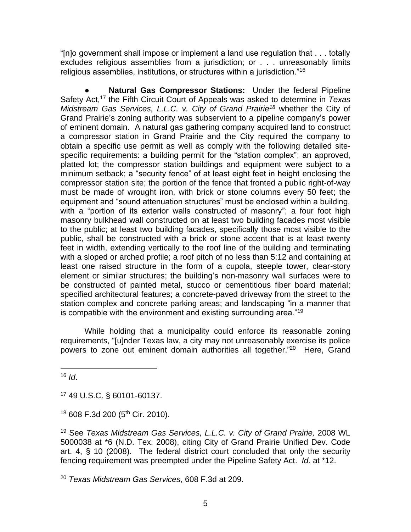"[n]o government shall impose or implement a land use regulation that . . . totally excludes religious assemblies from a jurisdiction; or . . . unreasonably limits religious assemblies, institutions, or structures within a jurisdiction."<sup>16</sup>

**Natural Gas Compressor Stations:** Under the federal Pipeline Safety Act,<sup>17</sup> the Fifth Circuit Court of Appeals was asked to determine in *Texas Midstream Gas Services, L.L.C. v. City of Grand Prairie<sup>18</sup>* whether the City of Grand Prairie's zoning authority was subservient to a pipeline company's power of eminent domain. A natural gas gathering company acquired land to construct a compressor station in Grand Prairie and the City required the company to obtain a specific use permit as well as comply with the following detailed sitespecific requirements: a building permit for the "station complex"; an approved, platted lot; the compressor station buildings and equipment were subject to a minimum setback; a "security fence" of at least eight feet in height enclosing the compressor station site; the portion of the fence that fronted a public right-of-way must be made of wrought iron, with brick or stone columns every 50 feet; the equipment and "sound attenuation structures" must be enclosed within a building, with a "portion of its exterior walls constructed of masonry"; a four foot high masonry bulkhead wall constructed on at least two building facades most visible to the public; at least two building facades, specifically those most visible to the public, shall be constructed with a brick or stone accent that is at least twenty feet in width, extending vertically to the roof line of the building and terminating with a sloped or arched profile; a roof pitch of no less than 5:12 and containing at least one raised structure in the form of a cupola, steeple tower, clear-story element or similar structures; the building's non-masonry wall surfaces were to be constructed of painted metal, stucco or cementitious fiber board material; specified architectural features; a concrete-paved driveway from the street to the station complex and concrete parking areas; and landscaping "in a manner that is compatible with the environment and existing surrounding area."<sup>19</sup>

While holding that a municipality could enforce its reasonable zoning requirements, "[u]nder Texas law, a city may not unreasonably exercise its police powers to zone out eminent domain authorities all together."<sup>20</sup> Here, Grand

 $16$  *Id.* 

<sup>17</sup> 49 U.S.C. § 60101-60137.

 $18$  608 F.3d 200 (5<sup>th</sup> Cir. 2010).

<sup>19</sup> See *Texas Midstream Gas Services, L.L.C. v. City of Grand Prairie,* 2008 WL 5000038 at \*6 (N.D. Tex. 2008), citing City of Grand Prairie Unified Dev. Code art. 4, § 10 (2008). The federal district court concluded that only the security fencing requirement was preempted under the Pipeline Safety Act. *Id*. at \*12.

<sup>20</sup> *Texas Midstream Gas Services*, 608 F.3d at 209.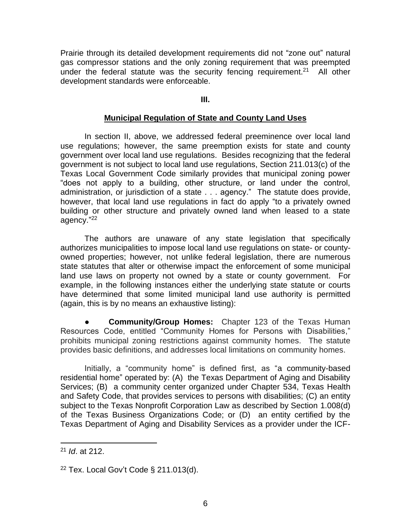Prairie through its detailed development requirements did not "zone out" natural gas compressor stations and the only zoning requirement that was preempted under the federal statute was the security fencing requirement.<sup>21</sup> All other development standards were enforceable.

## **III.**

# **Municipal Regulation of State and County Land Uses**

In section II, above, we addressed federal preeminence over local land use regulations; however, the same preemption exists for state and county government over local land use regulations. Besides recognizing that the federal government is not subject to local land use regulations, Section 211.013(c) of the Texas Local Government Code similarly provides that municipal zoning power "does not apply to a building, other structure, or land under the control, administration, or jurisdiction of a state . . . agency." The statute does provide, however, that local land use regulations in fact do apply "to a privately owned building or other structure and privately owned land when leased to a state agency." 22

The authors are unaware of any state legislation that specifically authorizes municipalities to impose local land use regulations on state- or countyowned properties; however, not unlike federal legislation, there are numerous state statutes that alter or otherwise impact the enforcement of some municipal land use laws on property not owned by a state or county government. For example, in the following instances either the underlying state statute or courts have determined that some limited municipal land use authority is permitted (again, this is by no means an exhaustive listing):

**Community/Group Homes:** Chapter 123 of the Texas Human Resources Code, entitled "Community Homes for Persons with Disabilities," prohibits municipal zoning restrictions against community homes. The statute provides basic definitions, and addresses local limitations on community homes.

Initially, a "community home" is defined first, as "a community-based residential home" operated by: (A) the Texas Department of Aging and Disability Services; (B) a community center organized under Chapter 534, Texas Health and Safety Code, that provides services to persons with disabilities; (C) an entity subject to the Texas Nonprofit Corporation Law as described by Section 1.008(d) of the Texas Business Organizations Code; or (D) an entity certified by the Texas Department of Aging and Disability Services as a provider under the ICF-

<sup>21</sup> *Id*. at 212.

 $22$  Tex. Local Gov't Code § 211.013(d).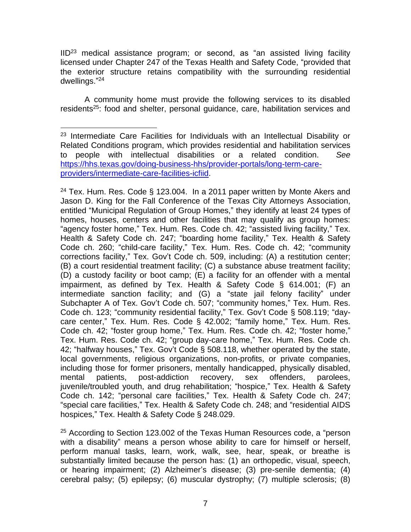IID<sup>23</sup> medical assistance program; or second, as "an assisted living facility licensed under Chapter 247 of the Texas Health and Safety Code, "provided that the exterior structure retains compatibility with the surrounding residential dwellings." 24

A community home must provide the following services to its disabled residents<sup>25</sup>: food and shelter, personal quidance, care, habilitation services and

<sup>24</sup> Tex. Hum. Res. Code § 123.004. In a 2011 paper written by Monte Akers and Jason D. King for the Fall Conference of the Texas City Attorneys Association, entitled "Municipal Regulation of Group Homes," they identify at least 24 types of homes, houses, centers and other facilities that may qualify as group homes: "agency foster home," Tex. Hum. Res. Code ch. 42; "assisted living facility," Tex. Health & Safety Code ch. 247; "boarding home facility," Tex. Health & Safety Code ch. 260; "child-care facility," Tex. Hum. Res. Code ch. 42; "community corrections facility," Tex. Gov't Code ch. 509, including: (A) a restitution center; (B) a court residential treatment facility; (C) a substance abuse treatment facility; (D) a custody facility or boot camp; (E) a facility for an offender with a mental impairment, as defined by Tex. Health & Safety Code § 614.001; (F) an intermediate sanction facility; and (G) a "state jail felony facility" under Subchapter A of Tex. Gov't Code ch. 507; "community homes," Tex. Hum. Res. Code ch. 123; "community residential facility," Tex. Gov't Code § 508.119; "daycare center," Tex. Hum. Res. Code § 42.002; "family home," Tex. Hum. Res. Code ch. 42; "foster group home," Tex. Hum. Res. Code ch. 42; "foster home," Tex. Hum. Res. Code ch. 42; "group day-care home," Tex. Hum. Res. Code ch. 42; "halfway houses," Tex. Gov't Code § 508.118, whether operated by the state, local governments, religious organizations, non-profits, or private companies, including those for former prisoners, mentally handicapped, physically disabled, mental patients, post-addiction recovery, sex offenders, parolees, juvenile/troubled youth, and drug rehabilitation; "hospice," Tex. Health & Safety Code ch. 142; "personal care facilities," Tex. Health & Safety Code ch. 247; "special care facilities," Tex. Health & Safety Code ch. 248; and "residential AIDS hospices," Tex. Health & Safety Code § 248.029.

<sup>25</sup> According to Section 123.002 of the Texas Human Resources code, a "person with a disability" means a person whose ability to care for himself or herself, perform manual tasks, learn, work, walk, see, hear, speak, or breathe is substantially limited because the person has: (1) an orthopedic, visual, speech, or hearing impairment; (2) Alzheimer's disease; (3) pre-senile dementia; (4) cerebral palsy; (5) epilepsy; (6) muscular dystrophy; (7) multiple sclerosis; (8)

<sup>&</sup>lt;sup>23</sup> Intermediate Care Facilities for Individuals with an Intellectual Disability or Related Conditions program, which provides residential and habilitation services to people with intellectual disabilities or a related condition. *See* [https://hhs.texas.gov/doing-business-hhs/provider-portals/long-term-care](https://hhs.texas.gov/doing-business-hhs/provider-portals/long-term-care-providers/intermediate-care-facilities-icfiid)[providers/intermediate-care-facilities-icfiid.](https://hhs.texas.gov/doing-business-hhs/provider-portals/long-term-care-providers/intermediate-care-facilities-icfiid)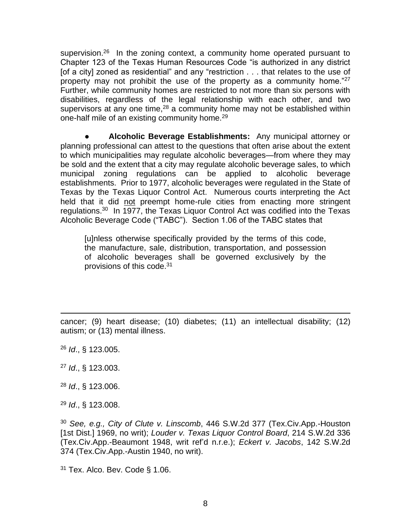supervision.<sup>26</sup> In the zoning context, a community home operated pursuant to Chapter 123 of the Texas Human Resources Code "is authorized in any district [of a city] zoned as residential" and any "restriction . . . that relates to the use of property may not prohibit the use of the property as a community home."<sup>27</sup> Further, while community homes are restricted to not more than six persons with disabilities, regardless of the legal relationship with each other, and two supervisors at any one time,  $28$  a community home may not be established within one-half mile of an existing community home.<sup>29</sup>

● **Alcoholic Beverage Establishments:** Any municipal attorney or planning professional can attest to the questions that often arise about the extent to which municipalities may regulate alcoholic beverages—from where they may be sold and the extent that a city may regulate alcoholic beverage sales, to which municipal zoning regulations can be applied to alcoholic beverage establishments. Prior to 1977, alcoholic beverages were regulated in the State of Texas by the Texas Liquor Control Act. Numerous courts interpreting the Act held that it did not preempt home-rule cities from enacting more stringent regulations.<sup>30</sup> In 1977, the Texas Liquor Control Act was codified into the Texas Alcoholic Beverage Code ("TABC"). Section 1.06 of the TABC states that

[u]nless otherwise specifically provided by the terms of this code, the manufacture, sale, distribution, transportation, and possession of alcoholic beverages shall be governed exclusively by the provisions of this code.<sup>31</sup>

cancer; (9) heart disease; (10) diabetes; (11) an intellectual disability; (12) autism; or (13) mental illness.

<sup>26</sup> *Id*., § 123.005.

- <sup>27</sup> *Id*., § 123.003.
- <sup>28</sup> *Id*., § 123.006.
- <sup>29</sup> *Id*., § 123.008.

<sup>30</sup> *See, e.g., City of Clute v. Linscomb*, 446 S.W.2d 377 (Tex.Civ.App.-Houston [1st Dist.] 1969, no writ); *Louder v. Texas Liquor Control Board*, 214 S.W.2d 336 (Tex.Civ.App.-Beaumont 1948, writ ref'd n.r.e.); *Eckert v. Jacobs*, 142 S.W.2d 374 (Tex.Civ.App.-Austin 1940, no writ).

 $31$  Tex. Alco. Bev. Code § 1.06.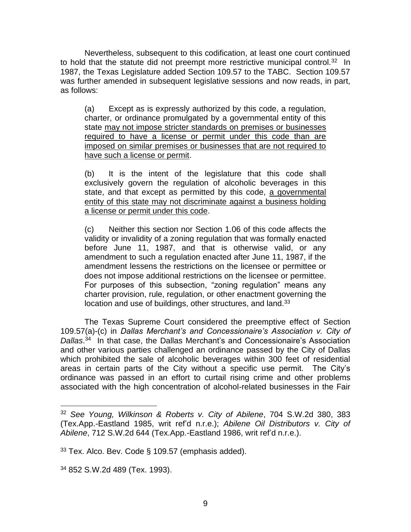Nevertheless, subsequent to this codification, at least one court continued to hold that the statute did not preempt more restrictive municipal control.<sup>32</sup> In 1987, the Texas Legislature added Section 109.57 to the TABC. Section 109.57 was further amended in subsequent legislative sessions and now reads, in part, as follows:

(a) Except as is expressly authorized by this code, a regulation, charter, or ordinance promulgated by a governmental entity of this state may not impose stricter standards on premises or businesses required to have a license or permit under this code than are imposed on similar premises or businesses that are not required to have such a license or permit.

(b) It is the intent of the legislature that this code shall exclusively govern the regulation of alcoholic beverages in this state, and that except as permitted by this code, a governmental entity of this state may not discriminate against a business holding a license or permit under this code.

(c) Neither this section nor Section 1.06 of this code affects the validity or invalidity of a zoning regulation that was formally enacted before June 11, 1987, and that is otherwise valid, or any amendment to such a regulation enacted after June 11, 1987, if the amendment lessens the restrictions on the licensee or permittee or does not impose additional restrictions on the licensee or permittee. For purposes of this subsection, "zoning regulation" means any charter provision, rule, regulation, or other enactment governing the location and use of buildings, other structures, and land.<sup>33</sup>

The Texas Supreme Court considered the preemptive effect of Section 109.57(a)-(c) in *Dallas Merchant's and Concessionaire's Association v. City of Dallas*. <sup>34</sup> In that case, the Dallas Merchant's and Concessionaire's Association and other various parties challenged an ordinance passed by the City of Dallas which prohibited the sale of alcoholic beverages within 300 feet of residential areas in certain parts of the City without a specific use permit. The City's ordinance was passed in an effort to curtail rising crime and other problems associated with the high concentration of alcohol-related businesses in the Fair

<sup>32</sup> *See Young, Wilkinson & Roberts v. City of Abilene*, 704 S.W.2d 380, 383 (Tex.App.-Eastland 1985, writ ref'd n.r.e.); *Abilene Oil Distributors v. City of Abilene*, 712 S.W.2d 644 (Tex.App.-Eastland 1986, writ ref'd n.r.e.).

 $33$  Tex. Alco. Bev. Code § 109.57 (emphasis added).

<sup>34</sup> 852 S.W.2d 489 (Tex. 1993).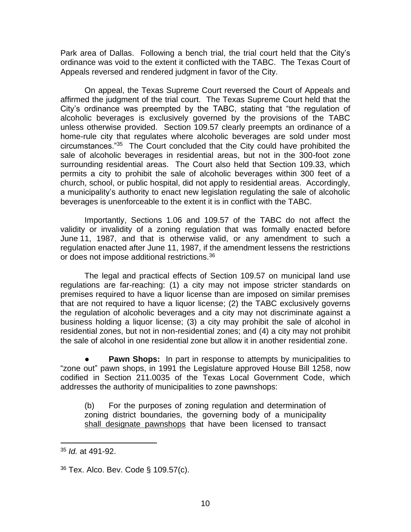Park area of Dallas. Following a bench trial, the trial court held that the City's ordinance was void to the extent it conflicted with the TABC. The Texas Court of Appeals reversed and rendered judgment in favor of the City.

On appeal, the Texas Supreme Court reversed the Court of Appeals and affirmed the judgment of the trial court. The Texas Supreme Court held that the City's ordinance was preempted by the TABC, stating that "the regulation of alcoholic beverages is exclusively governed by the provisions of the TABC unless otherwise provided. Section 109.57 clearly preempts an ordinance of a home-rule city that regulates where alcoholic beverages are sold under most circumstances."<sup>35</sup> The Court concluded that the City could have prohibited the sale of alcoholic beverages in residential areas, but not in the 300-foot zone surrounding residential areas. The Court also held that Section 109.33, which permits a city to prohibit the sale of alcoholic beverages within 300 feet of a church, school, or public hospital, did not apply to residential areas. Accordingly, a municipality's authority to enact new legislation regulating the sale of alcoholic beverages is unenforceable to the extent it is in conflict with the TABC.

Importantly, Sections 1.06 and 109.57 of the TABC do not affect the validity or invalidity of a zoning regulation that was formally enacted before June 11, 1987, and that is otherwise valid, or any amendment to such a regulation enacted after June 11, 1987, if the amendment lessens the restrictions or does not impose additional restrictions.<sup>36</sup>

The legal and practical effects of Section 109.57 on municipal land use regulations are far-reaching: (1) a city may not impose stricter standards on premises required to have a liquor license than are imposed on similar premises that are not required to have a liquor license; (2) the TABC exclusively governs the regulation of alcoholic beverages and a city may not discriminate against a business holding a liquor license; (3) a city may prohibit the sale of alcohol in residential zones, but not in non-residential zones; and (4) a city may not prohibit the sale of alcohol in one residential zone but allow it in another residential zone.

**Pawn Shops:** In part in response to attempts by municipalities to "zone out" pawn shops, in 1991 the Legislature approved House Bill 1258, now codified in Section 211.0035 of the Texas Local Government Code, which addresses the authority of municipalities to zone pawnshops:

(b) For the purposes of zoning regulation and determination of zoning district boundaries, the governing body of a municipality shall designate pawnshops that have been licensed to transact

<sup>35</sup> *Id.* at 491-92.

<sup>36</sup> Tex. Alco. Bev. Code § 109.57(c).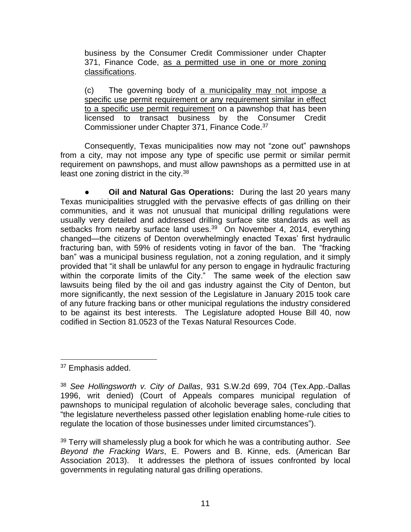business by the Consumer Credit Commissioner under Chapter 371, Finance Code, as a permitted use in one or more zoning classifications.

(c) The governing body of a municipality may not impose a specific use permit requirement or any requirement similar in effect to a specific use permit requirement on a pawnshop that has been licensed to transact business by the Consumer Credit Commissioner under Chapter 371, Finance Code.<sup>37</sup>

Consequently, Texas municipalities now may not "zone out" pawnshops from a city, may not impose any type of specific use permit or similar permit requirement on pawnshops, and must allow pawnshops as a permitted use in at least one zoning district in the city.<sup>38</sup>

**Oil and Natural Gas Operations:** During the last 20 years many Texas municipalities struggled with the pervasive effects of gas drilling on their communities, and it was not unusual that municipal drilling regulations were usually very detailed and addressed drilling surface site standards as well as setbacks from nearby surface land uses.<sup>39</sup> On November 4, 2014, everything changed—the citizens of Denton overwhelmingly enacted Texas' first hydraulic fracturing ban, with 59% of residents voting in favor of the ban. The "fracking ban" was a municipal business regulation, not a zoning regulation, and it simply provided that "it shall be unlawful for any person to engage in hydraulic fracturing within the corporate limits of the City." The same week of the election saw lawsuits being filed by the oil and gas industry against the City of Denton, but more significantly, the next session of the Legislature in January 2015 took care of any future fracking bans or other municipal regulations the industry considered to be against its best interests. The Legislature adopted House Bill 40, now codified in Section 81.0523 of the Texas Natural Resources Code.

<sup>37</sup> Emphasis added.

<sup>39</sup> Terry will shamelessly plug a book for which he was a contributing author. *See Beyond the Fracking Wars*, E. Powers and B. Kinne, eds. (American Bar Association 2013). It addresses the plethora of issues confronted by local governments in regulating natural gas drilling operations.

<sup>38</sup> *See Hollingsworth v. City of Dallas*, 931 S.W.2d 699, 704 (Tex.App.-Dallas 1996, writ denied) (Court of Appeals compares municipal regulation of pawnshops to municipal regulation of alcoholic beverage sales, concluding that "the legislature nevertheless passed other legislation enabling home-rule cities to regulate the location of those businesses under limited circumstances").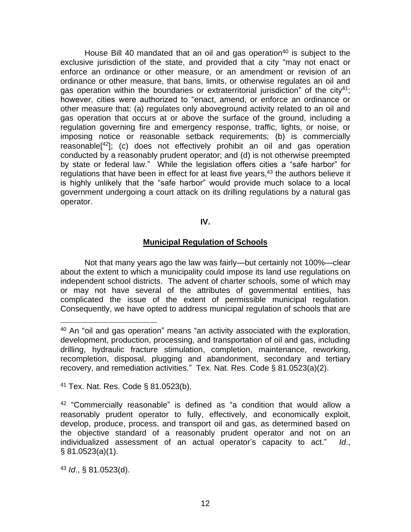House Bill 40 mandated that an oil and gas operation<sup>40</sup> is subject to the exclusive jurisdiction of the state, and provided that a city "may not enact or enforce an ordinance or other measure, or an amendment or revision of an ordinance or other measure, that bans, limits, or otherwise regulates an oil and gas operation within the boundaries or extraterritorial jurisdiction" of the city<sup>41</sup>; however, cities were authorized to "enact, amend, or enforce an ordinance or other measure that: (a) regulates only aboveground activity related to an oil and gas operation that occurs at or above the surface of the ground, including a regulation governing fire and emergency response, traffic, lights, or noise, or imposing notice or reasonable setback requirements; (b) is commercially reasonable[ <sup>42</sup>]; (c) does not effectively prohibit an oil and gas operation conducted by a reasonably prudent operator; and (d) is not otherwise preempted by state or federal law." While the legislation offers cities a "safe harbor" for regulations that have been in effect for at least five years,<sup>43</sup> the authors believe it is highly unlikely that the "safe harbor" would provide much solace to a local government undergoing a court attack on its drilling regulations by a natural gas operator.

# **IV.**

# **Municipal Regulation of Schools**

Not that many years ago the law was fairly—but certainly not 100%—clear about the extent to which a municipality could impose its land use regulations on independent school districts. The advent of charter schools, some of which may or may not have several of the attributes of governmental entities, has complicated the issue of the extent of permissible municipal regulation. Consequently, we have opted to address municipal regulation of schools that are

<sup>41</sup> Tex. Nat. Res. Code § 81.0523(b).

<sup>42</sup> "Commercially reasonable" is defined as "a condition that would allow a reasonably prudent operator to fully, effectively, and economically exploit, develop, produce, process, and transport oil and gas, as determined based on the objective standard of a reasonably prudent operator and not on an individualized assessment of an actual operator's capacity to act." *Id*., § 81.0523(a)(1).

<sup>43</sup> *Id*., § 81.0523(d).

 $40$  An "oil and gas operation" means "an activity associated with the exploration, development, production, processing, and transportation of oil and gas, including drilling, hydraulic fracture stimulation, completion, maintenance, reworking, recompletion, disposal, plugging and abandonment, secondary and tertiary recovery, and remediation activities." Tex. Nat. Res. Code § 81.0523(a)(2).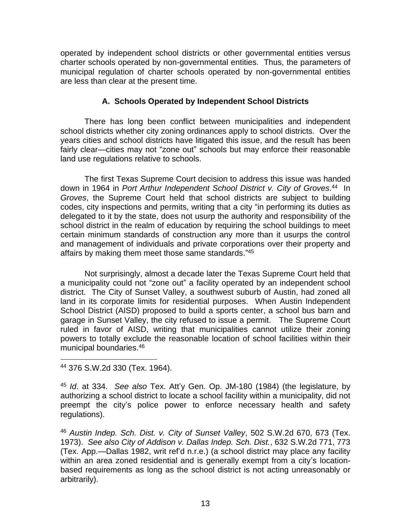operated by independent school districts or other governmental entities versus charter schools operated by non-governmental entities. Thus, the parameters of municipal regulation of charter schools operated by non-governmental entities are less than clear at the present time.

# **A. Schools Operated by Independent School Districts**

There has long been conflict between municipalities and independent school districts whether city zoning ordinances apply to school districts. Over the years cities and school districts have litigated this issue, and the result has been fairly clear—cities may not "zone out" schools but may enforce their reasonable land use regulations relative to schools.

The first Texas Supreme Court decision to address this issue was handed down in 1964 in *Port Arthur Independent School District v. City of Groves*. 44 In *Groves*, the Supreme Court held that school districts are subject to building codes, city inspections and permits, writing that a city "in performing its duties as delegated to it by the state, does not usurp the authority and responsibility of the school district in the realm of education by requiring the school buildings to meet certain minimum standards of construction any more than it usurps the control and management of individuals and private corporations over their property and affairs by making them meet those same standards." 45

Not surprisingly, almost a decade later the Texas Supreme Court held that a municipality could not "zone out" a facility operated by an independent school district. The City of Sunset Valley, a southwest suburb of Austin, had zoned all land in its corporate limits for residential purposes. When Austin Independent School District (AISD) proposed to build a sports center, a school bus barn and garage in Sunset Valley, the city refused to issue a permit. The Supreme Court ruled in favor of AISD, writing that municipalities cannot utilize their zoning powers to totally exclude the reasonable location of school facilities within their municipal boundaries.<sup>46</sup>

<sup>44</sup> 376 S.W.2d 330 (Tex. 1964).

<sup>45</sup> *Id*. at 334. *See also* Tex. Att'y Gen. Op. JM-180 (1984) (the legislature, by authorizing a school district to locate a school facility within a municipality, did not preempt the city's police power to enforce necessary health and safety regulations).

<sup>46</sup> *Austin Indep. Sch. Dist. v. City of Sunset Valley*, 502 S.W.2d 670, 673 (Tex. 1973). *See also City of Addison v. Dallas Indep. Sch. Dist.*, 632 S.W.2d 771, 773 (Tex. App.—Dallas 1982, writ ref'd n.r.e.) (a school district may place any facility within an area zoned residential and is generally exempt from a city's locationbased requirements as long as the school district is not acting unreasonably or arbitrarily).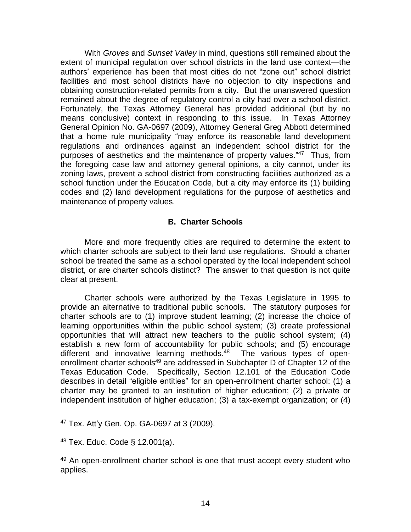With *Groves* and *Sunset Valley* in mind, questions still remained about the extent of municipal regulation over school districts in the land use context—the authors' experience has been that most cities do not "zone out" school district facilities and most school districts have no objection to city inspections and obtaining construction-related permits from a city. But the unanswered question remained about the degree of regulatory control a city had over a school district. Fortunately, the Texas Attorney General has provided additional (but by no means conclusive) context in responding to this issue. In Texas Attorney General Opinion No. GA-0697 (2009), Attorney General Greg Abbott determined that a home rule municipality "may enforce its reasonable land development regulations and ordinances against an independent school district for the purposes of aesthetics and the maintenance of property values."<sup>47</sup> Thus, from the foregoing case law and attorney general opinions, a city cannot, under its zoning laws, prevent a school district from constructing facilities authorized as a school function under the Education Code, but a city may enforce its (1) building codes and (2) land development regulations for the purpose of aesthetics and maintenance of property values.

# **B. Charter Schools**

More and more frequently cities are required to determine the extent to which charter schools are subject to their land use regulations. Should a charter school be treated the same as a school operated by the local independent school district, or are charter schools distinct? The answer to that question is not quite clear at present.

Charter schools were authorized by the Texas Legislature in 1995 to provide an alternative to traditional public schools. The statutory purposes for charter schools are to (1) improve student learning; (2) increase the choice of learning opportunities within the public school system; (3) create professional opportunities that will attract new teachers to the public school system; (4) establish a new form of accountability for public schools; and (5) encourage different and innovative learning methods.<sup>48</sup> The various types of openenrollment charter schools<sup>49</sup> are addressed in Subchapter D of Chapter 12 of the Texas Education Code. Specifically, Section 12.101 of the Education Code describes in detail "eligible entities" for an open-enrollment charter school: (1) a charter may be granted to an institution of higher education; (2) a private or independent institution of higher education; (3) a tax-exempt organization; or (4)

<sup>47</sup> Tex. Att'y Gen. Op. GA-0697 at 3 (2009).

<sup>48</sup> Tex. Educ. Code § 12.001(a).

<sup>&</sup>lt;sup>49</sup> An open-enrollment charter school is one that must accept every student who applies.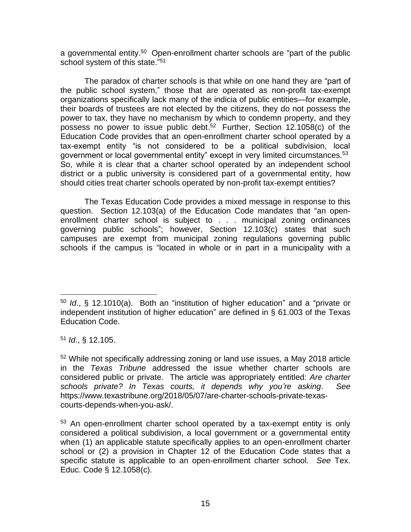a governmental entity.<sup>50</sup> Open-enrollment charter schools are "part of the public school system of this state."<sup>51</sup>

The paradox of charter schools is that while on one hand they are "part of the public school system," those that are operated as non-profit tax-exempt organizations specifically lack many of the indicia of public entities—for example, their boards of trustees are not elected by the citizens, they do not possess the power to tax, they have no mechanism by which to condemn property, and they possess no power to issue public debt.<sup>52</sup> Further, Section 12.1058(c) of the Education Code provides that an open-enrollment charter school operated by a tax-exempt entity "is not considered to be a political subdivision, local government or local governmental entity" except in very limited circumstances.<sup>53</sup> So, while it is clear that a charter school operated by an independent school district or a public university is considered part of a governmental entity, how should cities treat charter schools operated by non-profit tax-exempt entities?

The Texas Education Code provides a mixed message in response to this question. Section 12.103(a) of the Education Code mandates that "an openenrollment charter school is subject to . . . municipal zoning ordinances governing public schools"; however, Section 12.103(c) states that such campuses are exempt from municipal zoning regulations governing public schools if the campus is "located in whole or in part in a municipality with a

<sup>51</sup> *Id*., § 12.105.

<sup>50</sup> *Id*., § 12.1010(a). Both an "institution of higher education" and a "private or independent institution of higher education" are defined in § 61.003 of the Texas Education Code.

<sup>52</sup> While not specifically addressing zoning or land use issues, a May 2018 article in the *Texas Tribune* addressed the issue whether charter schools are considered public or private. The article was appropriately entitled: *Are charter schools private? In Texas courts, it depends why you're asking*. *See* https://www.texastribune.org/2018/05/07/are-charter-schools-private-texascourts-depends-when-you-ask/.

<sup>&</sup>lt;sup>53</sup> An open-enrollment charter school operated by a tax-exempt entity is only considered a political subdivision, a local government or a governmental entity when (1) an applicable statute specifically applies to an open-enrollment charter school or (2) a provision in Chapter 12 of the Education Code states that a specific statute is applicable to an open-enrollment charter school. *See* Tex. Educ. Code § 12.1058(c).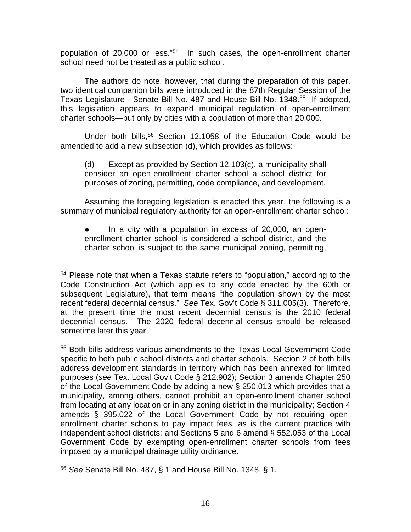population of 20,000 or less." 54 In such cases, the open-enrollment charter school need not be treated as a public school.

The authors do note, however, that during the preparation of this paper, two identical companion bills were introduced in the 87th Regular Session of the Texas Legislature—Senate Bill No. 487 and House Bill No. 1348.<sup>55</sup> If adopted, this legislation appears to expand municipal regulation of open-enrollment charter schools—but only by cities with a population of more than 20,000.

Under both bills,<sup>56</sup> Section 12.1058 of the Education Code would be amended to add a new subsection (d), which provides as follows:

(d) Except as provided by Section 12.103(c), a municipality shall consider an open-enrollment charter school a school district for purposes of zoning, permitting, code compliance, and development.

Assuming the foregoing legislation is enacted this year, the following is a summary of municipal regulatory authority for an open-enrollment charter school:

● In a city with a population in excess of 20,000, an openenrollment charter school is considered a school district, and the charter school is subject to the same municipal zoning, permitting,

<sup>55</sup> Both bills address various amendments to the Texas Local Government Code specific to both public school districts and charter schools. Section 2 of both bills address development standards in territory which has been annexed for limited purposes (*see* Tex. Local Gov't Code § 212.902); Section 3 amends Chapter 250 of the Local Government Code by adding a new § 250.013 which provides that a municipality, among others, cannot prohibit an open-enrollment charter school from locating at any location or in any zoning district in the municipality; Section 4 amends § 395.022 of the Local Government Code by not requiring openenrollment charter schools to pay impact fees, as is the current practice with independent school districts; and Sections 5 and 6 amend § 552.053 of the Local Government Code by exempting open-enrollment charter schools from fees imposed by a municipal drainage utility ordinance.

<sup>56</sup> *See* Senate Bill No. 487, § 1 and House Bill No. 1348, § 1.

<sup>&</sup>lt;sup>54</sup> Please note that when a Texas statute refers to "population," according to the Code Construction Act (which applies to any code enacted by the 60th or subsequent Legislature), that term means "the population shown by the most recent federal decennial census." *See* Tex. Gov't Code § 311.005(3). Therefore, at the present time the most recent decennial census is the 2010 federal decennial census. The 2020 federal decennial census should be released sometime later this year.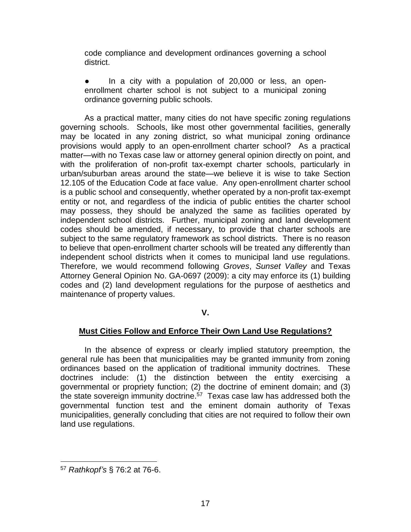code compliance and development ordinances governing a school district.

● In a city with a population of 20,000 or less, an openenrollment charter school is not subject to a municipal zoning ordinance governing public schools.

As a practical matter, many cities do not have specific zoning regulations governing schools. Schools, like most other governmental facilities, generally may be located in any zoning district, so what municipal zoning ordinance provisions would apply to an open-enrollment charter school? As a practical matter—with no Texas case law or attorney general opinion directly on point, and with the proliferation of non-profit tax-exempt charter schools, particularly in urban/suburban areas around the state—we believe it is wise to take Section 12.105 of the Education Code at face value. Any open-enrollment charter school is a public school and consequently, whether operated by a non-profit tax-exempt entity or not, and regardless of the indicia of public entities the charter school may possess, they should be analyzed the same as facilities operated by independent school districts. Further, municipal zoning and land development codes should be amended, if necessary, to provide that charter schools are subject to the same regulatory framework as school districts. There is no reason to believe that open-enrollment charter schools will be treated any differently than independent school districts when it comes to municipal land use regulations. Therefore, we would recommend following *Groves*, *Sunset Valley* and Texas Attorney General Opinion No. GA-0697 (2009): a city may enforce its (1) building codes and (2) land development regulations for the purpose of aesthetics and maintenance of property values.

# **V.**

# **Must Cities Follow and Enforce Their Own Land Use Regulations?**

In the absence of express or clearly implied statutory preemption, the general rule has been that municipalities may be granted immunity from zoning ordinances based on the application of traditional immunity doctrines. These doctrines include: (1) the distinction between the entity exercising a governmental or propriety function; (2) the doctrine of eminent domain; and (3) the state sovereign immunity doctrine.<sup>57</sup> Texas case law has addressed both the governmental function test and the eminent domain authority of Texas municipalities, generally concluding that cities are not required to follow their own land use regulations.

<sup>57</sup> *Rathkopf's* § 76:2 at 76-6.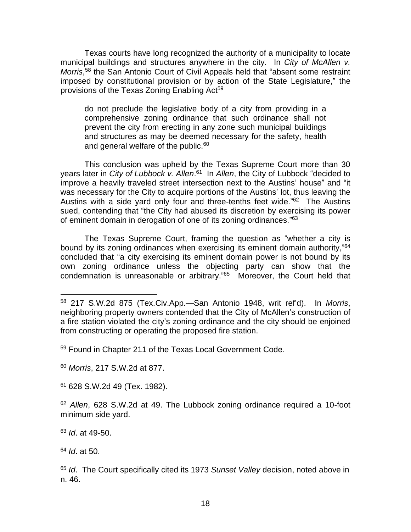Texas courts have long recognized the authority of a municipality to locate municipal buildings and structures anywhere in the city. In *City of McAllen v.*  Morris,<sup>58</sup> the San Antonio Court of Civil Appeals held that "absent some restraint imposed by constitutional provision or by action of the State Legislature," the provisions of the Texas Zoning Enabling Act<sup>59</sup>

do not preclude the legislative body of a city from providing in a comprehensive zoning ordinance that such ordinance shall not prevent the city from erecting in any zone such municipal buildings and structures as may be deemed necessary for the safety, health and general welfare of the public.<sup>60</sup>

This conclusion was upheld by the Texas Supreme Court more than 30 years later in *City of Lubbock v. Allen*. <sup>61</sup> In *Allen*, the City of Lubbock "decided to improve a heavily traveled street intersection next to the Austins' house" and "it was necessary for the City to acquire portions of the Austins' lot, thus leaving the Austins with a side yard only four and three-tenths feet wide."<sup>62</sup> The Austins sued, contending that "the City had abused its discretion by exercising its power of eminent domain in derogation of one of its zoning ordinances."<sup>63</sup>

The Texas Supreme Court, framing the question as "whether a city is bound by its zoning ordinances when exercising its eminent domain authority,"64 concluded that "a city exercising its eminent domain power is not bound by its own zoning ordinance unless the objecting party can show that the condemnation is unreasonable or arbitrary." 65 Moreover, the Court held that

<sup>59</sup> Found in Chapter 211 of the Texas Local Government Code.

<sup>60</sup> *Morris*, 217 S.W.2d at 877.

<sup>61</sup> 628 S.W.2d 49 (Tex. 1982).

<sup>62</sup> *Allen*, 628 S.W.2d at 49. The Lubbock zoning ordinance required a 10-foot minimum side yard.

<sup>63</sup> *Id*. at 49-50.

<sup>64</sup> *Id*. at 50.

<sup>65</sup> *Id*. The Court specifically cited its 1973 *Sunset Valley* decision, noted above in n. 46.

<sup>58</sup> 217 S.W.2d 875 (Tex.Civ.App.—San Antonio 1948, writ ref'd). In *Morris*, neighboring property owners contended that the City of McAllen's construction of a fire station violated the city's zoning ordinance and the city should be enjoined from constructing or operating the proposed fire station.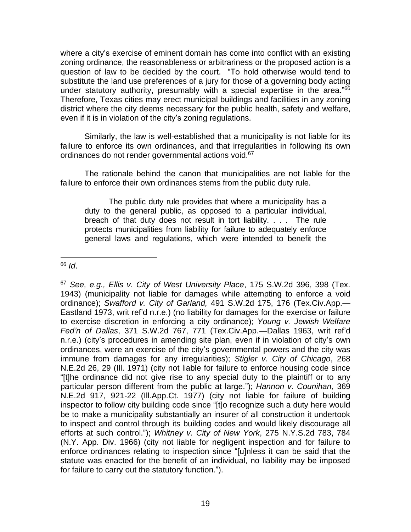where a city's exercise of eminent domain has come into conflict with an existing zoning ordinance, the reasonableness or arbitrariness or the proposed action is a question of law to be decided by the court. "To hold otherwise would tend to substitute the land use preferences of a jury for those of a governing body acting under statutory authority, presumably with a special expertise in the area."<sup>66</sup> Therefore, Texas cities may erect municipal buildings and facilities in any zoning district where the city deems necessary for the public health, safety and welfare, even if it is in violation of the city's zoning regulations.

Similarly, the law is well-established that a municipality is not liable for its failure to enforce its own ordinances, and that irregularities in following its own ordinances do not render governmental actions void.<sup>67</sup>

The rationale behind the canon that municipalities are not liable for the failure to enforce their own ordinances stems from the public duty rule.

The public duty rule provides that where a municipality has a duty to the general public, as opposed to a particular individual, breach of that duty does not result in tort liability. . . . The rule protects municipalities from liability for failure to adequately enforce general laws and regulations, which were intended to benefit the

<sup>67</sup> *See, e.g., Ellis v. City of West University Place*, 175 S.W.2d 396, 398 (Tex. 1943) (municipality not liable for damages while attempting to enforce a void ordinance); *Swafford v. City of Garland,* 491 S.W.2d 175, 176 (Tex.Civ.App.— Eastland 1973, writ ref'd n.r.e.) (no liability for damages for the exercise or failure to exercise discretion in enforcing a city ordinance); *Young v. Jewish Welfare Fed'n of Dallas*, 371 S.W.2d 767, 771 (Tex.Civ.App.—Dallas 1963, writ ref'd n.r.e.) (city's procedures in amending site plan, even if in violation of city's own ordinances, were an exercise of the city's governmental powers and the city was immune from damages for any irregularities); *Stigler v. City of Chicago*, 268 N.E.2d 26, 29 (Ill. 1971) (city not liable for failure to enforce housing code since "[t]he ordinance did not give rise to any special duty to the plaintiff or to any particular person different from the public at large."); *Hannon v. Counihan*, 369 N.E.2d 917, 921-22 (Ill.App.Ct. 1977) (city not liable for failure of building inspector to follow city building code since "[t]o recognize such a duty here would be to make a municipality substantially an insurer of all construction it undertook to inspect and control through its building codes and would likely discourage all efforts at such control."); *Whitney v. City of New York*, 275 N.Y.S.2d 783, 784 (N.Y. App. Div. 1966) (city not liable for negligent inspection and for failure to enforce ordinances relating to inspection since "[u]nless it can be said that the statute was enacted for the benefit of an individual, no liability may be imposed for failure to carry out the statutory function.").

<sup>66</sup> *Id*.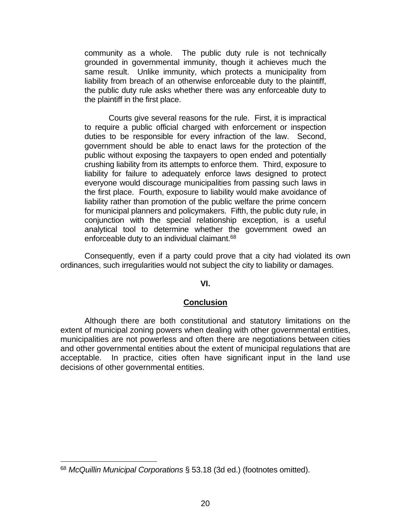community as a whole. The public duty rule is not technically grounded in governmental immunity, though it achieves much the same result. Unlike immunity, which protects a municipality from liability from breach of an otherwise enforceable duty to the plaintiff, the public duty rule asks whether there was any enforceable duty to the plaintiff in the first place.

Courts give several reasons for the rule. First, it is impractical to require a public official charged with enforcement or inspection duties to be responsible for every infraction of the law. Second, government should be able to enact laws for the protection of the public without exposing the taxpayers to open ended and potentially crushing liability from its attempts to enforce them. Third, exposure to liability for failure to adequately enforce laws designed to protect everyone would discourage municipalities from passing such laws in the first place. Fourth, exposure to liability would make avoidance of liability rather than promotion of the public welfare the prime concern for municipal planners and policymakers. Fifth, the public duty rule, in conjunction with the special relationship exception, is a useful analytical tool to determine whether the government owed an enforceable duty to an individual claimant.<sup>68</sup>

Consequently, even if a party could prove that a city had violated its own ordinances, such irregularities would not subject the city to liability or damages.

#### **VI.**

#### **Conclusion**

Although there are both constitutional and statutory limitations on the extent of municipal zoning powers when dealing with other governmental entities, municipalities are not powerless and often there are negotiations between cities and other governmental entities about the extent of municipal regulations that are acceptable. In practice, cities often have significant input in the land use decisions of other governmental entities.

<sup>68</sup> *McQuillin Municipal Corporations* § 53.18 (3d ed.) (footnotes omitted).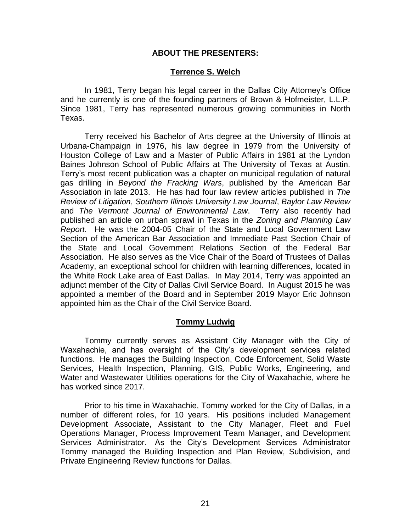# **ABOUT THE PRESENTERS:**

## **Terrence S. Welch**

In 1981, Terry began his legal career in the Dallas City Attorney's Office and he currently is one of the founding partners of Brown & Hofmeister, L.L.P. Since 1981, Terry has represented numerous growing communities in North Texas.

Terry received his Bachelor of Arts degree at the University of Illinois at Urbana-Champaign in 1976, his law degree in 1979 from the University of Houston College of Law and a Master of Public Affairs in 1981 at the Lyndon Baines Johnson School of Public Affairs at The University of Texas at Austin. Terry's most recent publication was a chapter on municipal regulation of natural gas drilling in *Beyond the Fracking Wars*, published by the American Bar Association in late 2013. He has had four law review articles published in *The Review of Litigation*, *Southern Illinois University Law Journal*, *Baylor Law Review* and *The Vermont Journal of Environmental Law*. Terry also recently had published an article on urban sprawl in Texas in the *Zoning and Planning Law Report*. He was the 2004-05 Chair of the State and Local Government Law Section of the American Bar Association and Immediate Past Section Chair of the State and Local Government Relations Section of the Federal Bar Association. He also serves as the Vice Chair of the Board of Trustees of Dallas Academy, an exceptional school for children with learning differences, located in the White Rock Lake area of East Dallas. In May 2014, Terry was appointed an adjunct member of the City of Dallas Civil Service Board. In August 2015 he was appointed a member of the Board and in September 2019 Mayor Eric Johnson appointed him as the Chair of the Civil Service Board.

#### **Tommy Ludwig**

Tommy currently serves as Assistant City Manager with the City of Waxahachie, and has oversight of the City's development services related functions. He manages the Building Inspection, Code Enforcement, Solid Waste Services, Health Inspection, Planning, GIS, Public Works, Engineering, and Water and Wastewater Utilities operations for the City of Waxahachie, where he has worked since 2017.

Prior to his time in Waxahachie, Tommy worked for the City of Dallas, in a number of different roles, for 10 years. His positions included Management Development Associate, Assistant to the City Manager, Fleet and Fuel Operations Manager, Process Improvement Team Manager, and Development Services Administrator. As the City's Development Services Administrator Tommy managed the Building Inspection and Plan Review, Subdivision, and Private Engineering Review functions for Dallas.